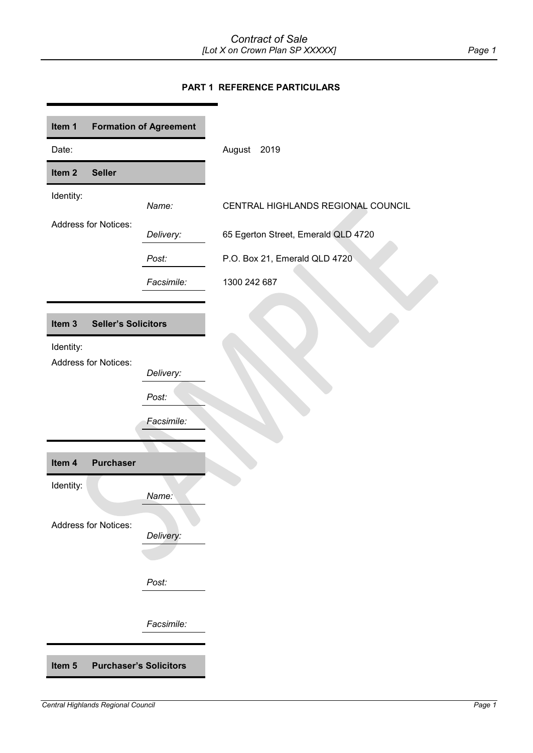# **PART 1 REFERENCE PARTICULARS**

<span id="page-0-5"></span><span id="page-0-4"></span><span id="page-0-3"></span><span id="page-0-2"></span><span id="page-0-1"></span><span id="page-0-0"></span>

| Item 1                                          | <b>Formation of Agreement</b> |                                     |
|-------------------------------------------------|-------------------------------|-------------------------------------|
| Date:                                           |                               | August 2019                         |
| Item <sub>2</sub><br><b>Seller</b>              |                               |                                     |
| Identity:                                       | Name:                         | CENTRAL HIGHLANDS REGIONAL COUNCIL  |
| <b>Address for Notices:</b>                     | Delivery:                     | 65 Egerton Street, Emerald QLD 4720 |
|                                                 | Post:                         | P.O. Box 21, Emerald QLD 4720       |
|                                                 | Facsimile:                    | 1300 242 687                        |
|                                                 |                               |                                     |
| Item <sub>3</sub><br><b>Seller's Solicitors</b> |                               |                                     |
| Identity:<br><b>Address for Notices:</b>        |                               |                                     |
|                                                 | Delivery:                     |                                     |
|                                                 | Post:                         |                                     |
|                                                 | Facsimile:                    |                                     |
|                                                 |                               |                                     |
| <b>Purchaser</b><br>Item 4                      |                               |                                     |
| Identity:                                       | Name:                         |                                     |
| <b>Address for Notices:</b>                     |                               |                                     |
|                                                 | Delivery:                     |                                     |
|                                                 |                               |                                     |
|                                                 |                               |                                     |
|                                                 | Post:                         |                                     |
|                                                 |                               |                                     |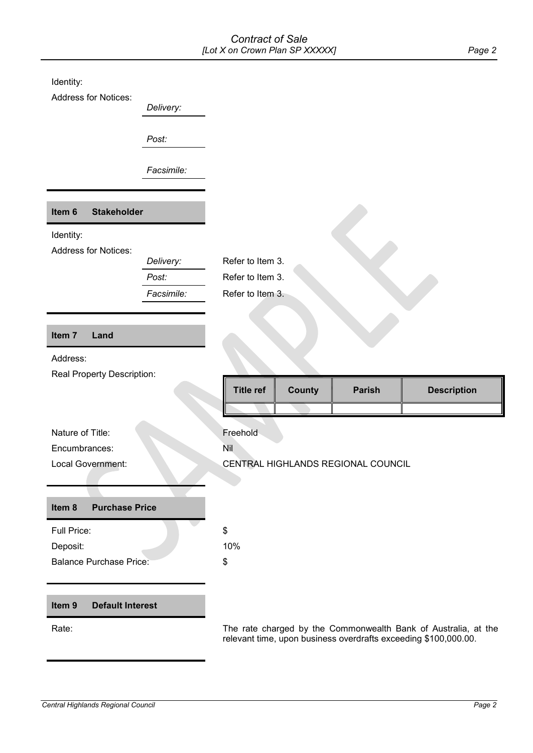<span id="page-1-3"></span><span id="page-1-2"></span><span id="page-1-1"></span><span id="page-1-0"></span>

| Identity:<br><b>Address for Notices:</b> |            |                  |               |                                                                |                    |
|------------------------------------------|------------|------------------|---------------|----------------------------------------------------------------|--------------------|
|                                          | Delivery:  |                  |               |                                                                |                    |
|                                          | Post:      |                  |               |                                                                |                    |
|                                          | Facsimile: |                  |               |                                                                |                    |
| Item 6<br><b>Stakeholder</b>             |            |                  |               |                                                                |                    |
| Identity:                                |            |                  |               |                                                                |                    |
| <b>Address for Notices:</b>              | Delivery:  | Refer to Item 3. |               |                                                                |                    |
|                                          | Post:      | Refer to Item 3. |               |                                                                |                    |
|                                          | Facsimile: | Refer to Item 3. |               |                                                                |                    |
|                                          |            |                  |               |                                                                |                    |
| Item 7<br>Land                           |            |                  |               |                                                                |                    |
| Address:                                 |            |                  |               |                                                                |                    |
| Real Property Description:               |            | <b>Title ref</b> | <b>County</b> | <b>Parish</b>                                                  | <b>Description</b> |
|                                          |            |                  |               |                                                                |                    |
| Nature of Title:                         |            | Freehold         |               |                                                                |                    |
| Encumbrances:                            |            | Nil              |               |                                                                |                    |
| Local Government:                        |            |                  |               | CENTRAL HIGHLANDS REGIONAL COUNCIL                             |                    |
|                                          |            |                  |               |                                                                |                    |
| Item 8<br><b>Purchase Price</b>          |            |                  |               |                                                                |                    |
| Full Price:                              |            | \$               |               |                                                                |                    |
| Deposit:                                 |            | 10%              |               |                                                                |                    |
| <b>Balance Purchase Price:</b>           |            | \$               |               |                                                                |                    |
|                                          |            |                  |               |                                                                |                    |
| Item 9<br><b>Default Interest</b>        |            |                  |               |                                                                |                    |
| Rate:                                    |            |                  |               | The rate charged by the Commonwealth Bank of Australia, at the |                    |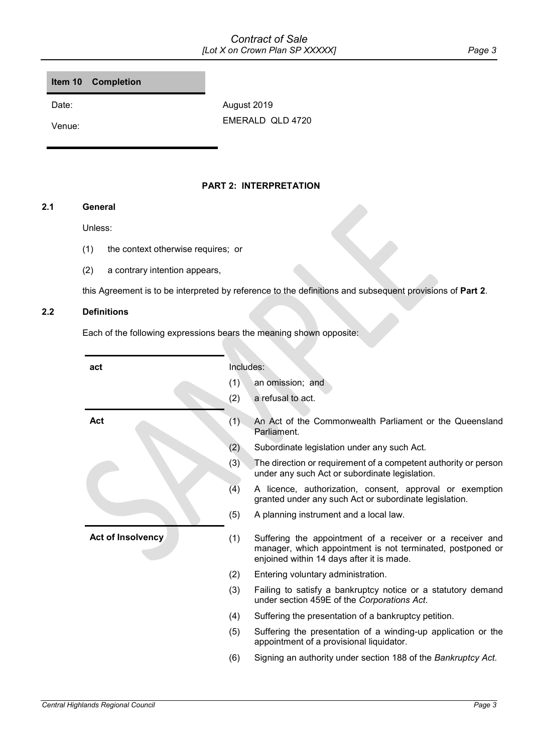# *Contract of Sale [Lot X on Crown Plan SP XXXXX] Page 3*

<span id="page-2-1"></span>**Item 10 Completion**

Date: August 2019 Venue: EMERALD QLD 4720

# **PART 2: INTERPRETATION**

# <span id="page-2-0"></span>**2.1 General**

# Unless:

- (1) the context otherwise requires; or
- (2) a contrary intention appears,

this Agreement is to be interpreted by reference to the definitions and subsequent provisions of **[Part](#page-2-0) 2**.

# **2.2 Definitions**

Each of the following expressions bears the meaning shown opposite:

| act               | Includes: |                                                                                                                                                                      |
|-------------------|-----------|----------------------------------------------------------------------------------------------------------------------------------------------------------------------|
|                   | (1)       | an omission; and                                                                                                                                                     |
|                   | (2)       | a refusal to act.                                                                                                                                                    |
| Act               | (1)       | An Act of the Commonwealth Parliament or the Queensland<br>Parliament.                                                                                               |
|                   | (2)       | Subordinate legislation under any such Act.                                                                                                                          |
|                   | (3)       | The direction or requirement of a competent authority or person<br>under any such Act or subordinate legislation.                                                    |
|                   | (4)       | A licence, authorization, consent, approval or exemption<br>granted under any such Act or subordinate legislation.                                                   |
|                   | (5)       | A planning instrument and a local law.                                                                                                                               |
| Act of Insolvency | (1)       | Suffering the appointment of a receiver or a receiver and<br>manager, which appointment is not terminated, postponed or<br>enjoined within 14 days after it is made. |
|                   | (2)       | Entering voluntary administration.                                                                                                                                   |
|                   | (3)       | Failing to satisfy a bankruptcy notice or a statutory demand<br>under section 459E of the Corporations Act.                                                          |
|                   | (4)       | Suffering the presentation of a bankruptcy petition.                                                                                                                 |
|                   | (5)       | Suffering the presentation of a winding-up application or the<br>appointment of a provisional liquidator.                                                            |
|                   | (6)       | Signing an authority under section 188 of the Bankruptcy Act.                                                                                                        |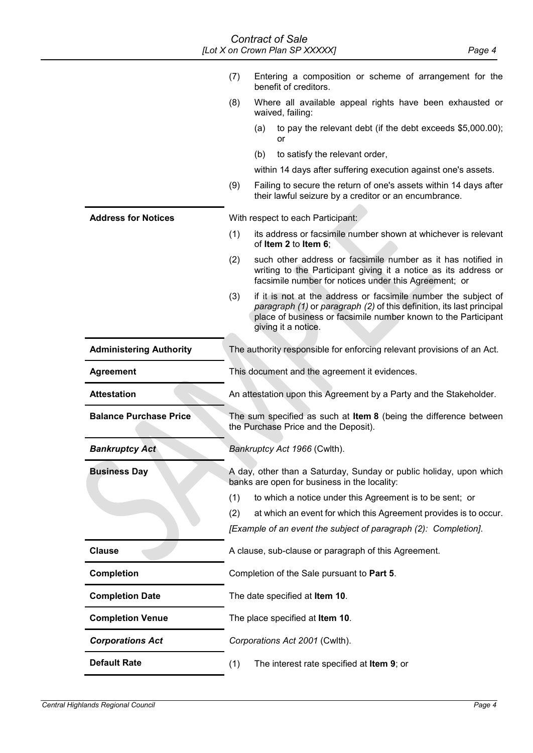# <span id="page-3-1"></span><span id="page-3-0"></span>*Contract of Sale [Lot X on Crown Plan SP XXXXX] Page 4*

<span id="page-3-2"></span>

|                                | (7)                                                                                                                | Entering a composition or scheme of arrangement for the<br>benefit of creditors.                                                                                                                                                 |  |
|--------------------------------|--------------------------------------------------------------------------------------------------------------------|----------------------------------------------------------------------------------------------------------------------------------------------------------------------------------------------------------------------------------|--|
|                                | (8)<br>Where all available appeal rights have been exhausted or<br>waived, failing:                                |                                                                                                                                                                                                                                  |  |
|                                |                                                                                                                    | (a)<br>to pay the relevant debt (if the debt exceeds \$5,000.00);<br>or                                                                                                                                                          |  |
|                                |                                                                                                                    | to satisfy the relevant order,<br>(b)                                                                                                                                                                                            |  |
|                                |                                                                                                                    | within 14 days after suffering execution against one's assets.                                                                                                                                                                   |  |
|                                | (9)                                                                                                                | Failing to secure the return of one's assets within 14 days after<br>their lawful seizure by a creditor or an encumbrance.                                                                                                       |  |
| <b>Address for Notices</b>     |                                                                                                                    | With respect to each Participant:                                                                                                                                                                                                |  |
|                                | (1)                                                                                                                | its address or facsimile number shown at whichever is relevant<br>of Item 2 to Item 6;                                                                                                                                           |  |
|                                | (2)                                                                                                                | such other address or facsimile number as it has notified in<br>writing to the Participant giving it a notice as its address or<br>facsimile number for notices under this Agreement; or                                         |  |
|                                | (3)                                                                                                                | if it is not at the address or facsimile number the subject of<br>paragraph (1) or paragraph (2) of this definition, its last principal<br>place of business or facsimile number known to the Participant<br>giving it a notice. |  |
| <b>Administering Authority</b> |                                                                                                                    | The authority responsible for enforcing relevant provisions of an Act.                                                                                                                                                           |  |
| <b>Agreement</b>               | This document and the agreement it evidences.                                                                      |                                                                                                                                                                                                                                  |  |
| <b>Attestation</b>             |                                                                                                                    | An attestation upon this Agreement by a Party and the Stakeholder.                                                                                                                                                               |  |
| <b>Balance Purchase Price</b>  | The sum specified as such at Item 8 (being the difference between<br>the Purchase Price and the Deposit).          |                                                                                                                                                                                                                                  |  |
| <b>Bankruptcy Act</b>          | Bankruptcy Act 1966 (Cwlth).                                                                                       |                                                                                                                                                                                                                                  |  |
| <b>Business Day</b>            | A day, other than a Saturday, Sunday or public holiday, upon which<br>banks are open for business in the locality: |                                                                                                                                                                                                                                  |  |
|                                | (1)                                                                                                                | to which a notice under this Agreement is to be sent; or                                                                                                                                                                         |  |
|                                | (2)                                                                                                                | at which an event for which this Agreement provides is to occur.                                                                                                                                                                 |  |
|                                |                                                                                                                    | [Example of an event the subject of paragraph (2): Completion].                                                                                                                                                                  |  |
| <b>Clause</b>                  |                                                                                                                    | A clause, sub-clause or paragraph of this Agreement.                                                                                                                                                                             |  |
| <b>Completion</b>              | Completion of the Sale pursuant to Part 5.                                                                         |                                                                                                                                                                                                                                  |  |
| <b>Completion Date</b>         |                                                                                                                    | The date specified at Item 10.                                                                                                                                                                                                   |  |
| <b>Completion Venue</b>        |                                                                                                                    | The place specified at Item 10.                                                                                                                                                                                                  |  |
| <b>Corporations Act</b>        |                                                                                                                    | Corporations Act 2001 (Cwlth).                                                                                                                                                                                                   |  |
| <b>Default Rate</b>            | (1)                                                                                                                | The interest rate specified at Item 9; or                                                                                                                                                                                        |  |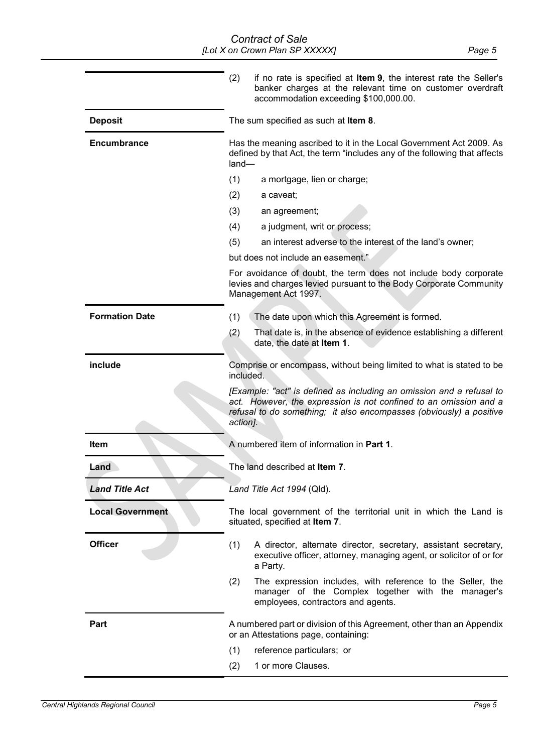|                         | (2)<br>if no rate is specified at Item 9, the interest rate the Seller's<br>banker charges at the relevant time on customer overdraft<br>accommodation exceeding \$100,000.00.                                               |  |
|-------------------------|------------------------------------------------------------------------------------------------------------------------------------------------------------------------------------------------------------------------------|--|
| <b>Deposit</b>          | The sum specified as such at Item 8.                                                                                                                                                                                         |  |
| <b>Encumbrance</b>      | Has the meaning ascribed to it in the Local Government Act 2009. As<br>defined by that Act, the term "includes any of the following that affects<br>land-                                                                    |  |
|                         | (1)<br>a mortgage, lien or charge;                                                                                                                                                                                           |  |
|                         | (2)<br>a caveat;                                                                                                                                                                                                             |  |
|                         | (3)<br>an agreement;                                                                                                                                                                                                         |  |
|                         | (4)<br>a judgment, writ or process;                                                                                                                                                                                          |  |
|                         | (5)<br>an interest adverse to the interest of the land's owner;                                                                                                                                                              |  |
|                         | but does not include an easement."                                                                                                                                                                                           |  |
|                         | For avoidance of doubt, the term does not include body corporate<br>levies and charges levied pursuant to the Body Corporate Community<br>Management Act 1997.                                                               |  |
| <b>Formation Date</b>   | (1)<br>The date upon which this Agreement is formed.                                                                                                                                                                         |  |
|                         | (2)<br>That date is, in the absence of evidence establishing a different<br>date, the date at Item 1.                                                                                                                        |  |
| include                 | Comprise or encompass, without being limited to what is stated to be<br>included.                                                                                                                                            |  |
|                         | [Example: "act" is defined as including an omission and a refusal to<br>act. However, the expression is not confined to an omission and a<br>refusal to do something; it also encompasses (obviously) a positive<br>action]. |  |
| Item                    | A numbered item of information in Part 1.                                                                                                                                                                                    |  |
| Land                    | The land described at Item 7.                                                                                                                                                                                                |  |
| <b>Land Title Act</b>   | Land Title Act 1994 (Qld).                                                                                                                                                                                                   |  |
| <b>Local Government</b> | The local government of the territorial unit in which the Land is<br>situated, specified at Item 7.                                                                                                                          |  |
| <b>Officer</b>          | (1)<br>A director, alternate director, secretary, assistant secretary,<br>executive officer, attorney, managing agent, or solicitor of or for<br>a Party.                                                                    |  |
|                         | (2)<br>The expression includes, with reference to the Seller, the<br>manager of the Complex together with the manager's<br>employees, contractors and agents.                                                                |  |
| Part                    | A numbered part or division of this Agreement, other than an Appendix<br>or an Attestations page, containing:                                                                                                                |  |
|                         | (1)<br>reference particulars; or                                                                                                                                                                                             |  |
|                         | 1 or more Clauses.<br>(2)                                                                                                                                                                                                    |  |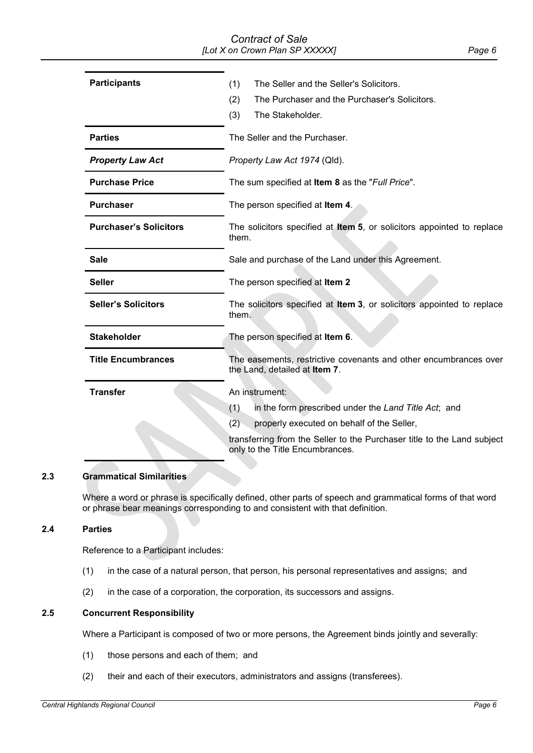# *Contract of Sale [Lot X on Crown Plan SP XXXXX] Page 6*

| <b>Participants</b>           | (1)<br>The Seller and the Seller's Solicitors.<br>(2)<br>The Purchaser and the Purchaser's Solicitors.<br>(3)<br>The Stakeholder. |  |
|-------------------------------|-----------------------------------------------------------------------------------------------------------------------------------|--|
| <b>Parties</b>                | The Seller and the Purchaser.                                                                                                     |  |
| <b>Property Law Act</b>       | Property Law Act 1974 (Qld).                                                                                                      |  |
| <b>Purchase Price</b>         | The sum specified at <b>Item 8</b> as the "Full Price".                                                                           |  |
| <b>Purchaser</b>              | The person specified at Item 4.                                                                                                   |  |
| <b>Purchaser's Solicitors</b> | The solicitors specified at <b>Item 5</b> , or solicitors appointed to replace<br>them.                                           |  |
| <b>Sale</b>                   | Sale and purchase of the Land under this Agreement.                                                                               |  |
| <b>Seller</b>                 | The person specified at Item 2                                                                                                    |  |
| <b>Seller's Solicitors</b>    | The solicitors specified at Item 3, or solicitors appointed to replace<br>them.                                                   |  |
| <b>Stakeholder</b>            | The person specified at Item 6.                                                                                                   |  |
| <b>Title Encumbrances</b>     | The easements, restrictive covenants and other encumbrances over<br>the Land, detailed at Item 7.                                 |  |
| <b>Transfer</b>               | An instrument:                                                                                                                    |  |
|                               | (1)<br>in the form prescribed under the Land Title Act; and                                                                       |  |
|                               | (2)<br>properly executed on behalf of the Seller,                                                                                 |  |
|                               | transferring from the Seller to the Purchaser title to the Land subject<br>only to the Title Encumbrances.                        |  |

# **2.3 Grammatical Similarities**

Where a word or phrase is specifically defined, other parts of speech and grammatical forms of that word or phrase bear meanings corresponding to and consistent with that definition.

#### **2.4 Parties**

Reference to a Participant includes:

- (1) in the case of a natural person, that person, his personal representatives and assigns; and
- (2) in the case of a corporation, the corporation, its successors and assigns.

# **2.5 Concurrent Responsibility**

Where a Participant is composed of two or more persons, the Agreement binds jointly and severally:

- (1) those persons and each of them; and
- (2) their and each of their executors, administrators and assigns (transferees).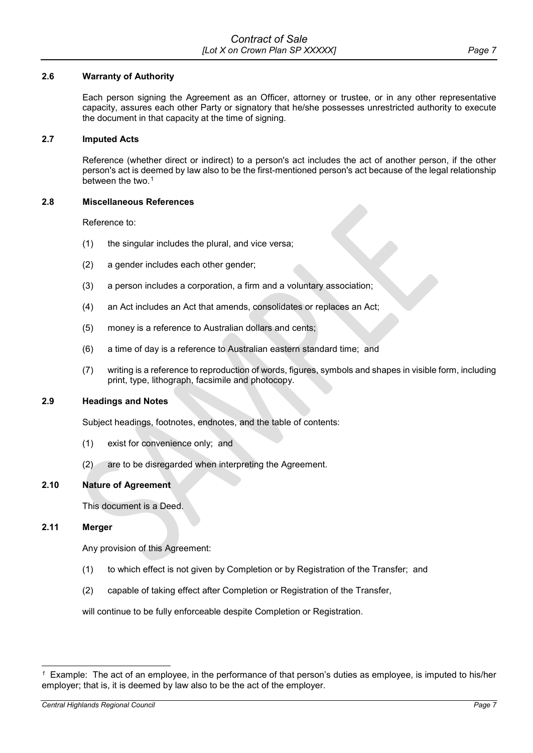### **2.6 Warranty of Authority**

Each person signing the Agreement as an Officer, attorney or trustee, or in any other representative capacity, assures each other Party or signatory that he/she possesses unrestricted authority to execute the document in that capacity at the time of signing.

#### **2.7 Imputed Acts**

Reference (whether direct or indirect) to a person's act includes the act of another person, if the other person's act is deemed by law also to be the first-mentioned person's act because of the legal relationship between the two.<sup>[1](#page-6-0)</sup>

### **2.8 Miscellaneous References**

Reference to:

- (1) the singular includes the plural, and vice versa;
- (2) a gender includes each other gender;
- (3) a person includes a corporation, a firm and a voluntary association;
- (4) an Act includes an Act that amends, consolidates or replaces an Act;
- (5) money is a reference to Australian dollars and cents;
- (6) a time of day is a reference to Australian eastern standard time; and
- (7) writing is a reference to reproduction of words, figures, symbols and shapes in visible form, including print, type, lithograph, facsimile and photocopy.

# **2.9 Headings and Notes**

Subject headings, footnotes, endnotes, and the table of contents:

- (1) exist for convenience only; and
- (2) are to be disregarded when interpreting the Agreement.

# **2.10 Nature of Agreement**

This document is a Deed.

#### **2.11 Merger**

Any provision of this Agreement:

- (1) to which effect is not given by Completion or by Registration of the Transfer; and
- (2) capable of taking effect after Completion or Registration of the Transfer,

will continue to be fully enforceable despite Completion or Registration.

<span id="page-6-0"></span><sup>-</sup>*1* Example: The act of an employee, in the performance of that person's duties as employee, is imputed to his/her employer; that is, it is deemed by law also to be the act of the employer.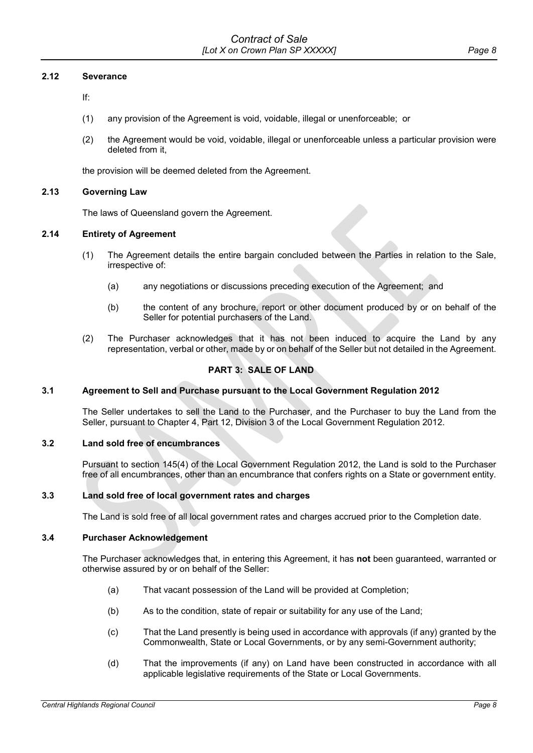### **2.12 Severance**

If:

- (1) any provision of the Agreement is void, voidable, illegal or unenforceable; or
- (2) the Agreement would be void, voidable, illegal or unenforceable unless a particular provision were deleted from it,

the provision will be deemed deleted from the Agreement.

#### **2.13 Governing Law**

The laws of Queensland govern the Agreement.

#### **2.14 Entirety of Agreement**

- (1) The Agreement details the entire bargain concluded between the Parties in relation to the Sale, irrespective of:
	- (a) any negotiations or discussions preceding execution of the Agreement; and
	- (b) the content of any brochure, report or other document produced by or on behalf of the Seller for potential purchasers of the Land.
- (2) The Purchaser acknowledges that it has not been induced to acquire the Land by any representation, verbal or other, made by or on behalf of the Seller but not detailed in the Agreement.

# **PART 3: SALE OF LAND**

### **3.1 Agreement to Sell and Purchase pursuant to the Local Government Regulation 2012**

The Seller undertakes to sell the Land to the Purchaser, and the Purchaser to buy the Land from the Seller, pursuant to Chapter 4, Part 12, Division 3 of the Local Government Regulation 2012.

# **3.2 Land sold free of encumbrances**

Pursuant to section 145(4) of the Local Government Regulation 2012, the Land is sold to the Purchaser free of all encumbrances, other than an encumbrance that confers rights on a State or government entity.

# **3.3 Land sold free of local government rates and charges**

The Land is sold free of all local government rates and charges accrued prior to the Completion date.

#### **3.4 Purchaser Acknowledgement**

The Purchaser acknowledges that, in entering this Agreement, it has **not** been guaranteed, warranted or otherwise assured by or on behalf of the Seller:

- (a) That vacant possession of the Land will be provided at Completion;
- (b) As to the condition, state of repair or suitability for any use of the Land;
- (c) That the Land presently is being used in accordance with approvals (if any) granted by the Commonwealth, State or Local Governments, or by any semi-Government authority;
- (d) That the improvements (if any) on Land have been constructed in accordance with all applicable legislative requirements of the State or Local Governments.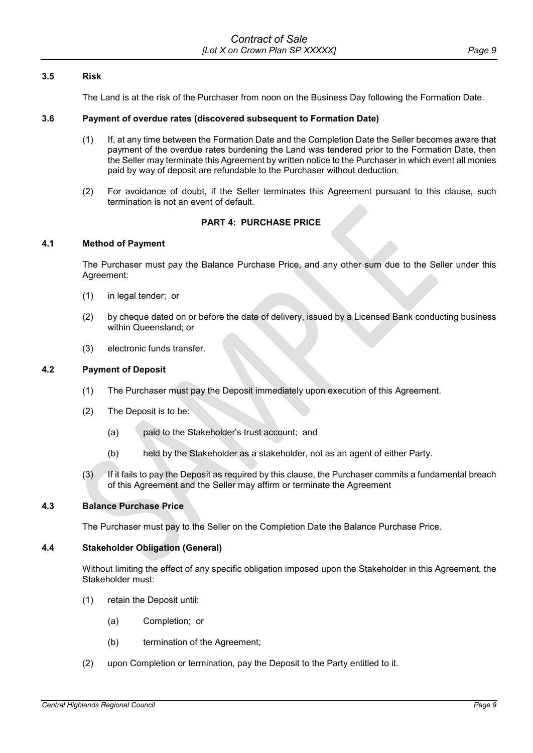# **3.5 Risk**

The Land is at the risk of the Purchaser from noon on the Business Day following the Formation Date.

#### **3.6 Payment of overdue rates (discovered subsequent to Formation Date)**

- (1) If, at any time between the Formation Date and the Completion Date the Seller becomes aware that payment of the overdue rates burdening the Land was tendered prior to the Formation Date, then the Seller may terminate this Agreement by written notice to the Purchaser in which event all monies paid by way of deposit are refundable to the Purchaser without deduction.
- (2) For avoidance of doubt, if the Seller terminates this Agreement pursuant to this clause, such termination is not an event of default.

# **PART 4: PURCHASE PRICE**

#### **4.1 Method of Payment**

The Purchaser must pay the Balance Purchase Price, and any other sum due to the Seller under this Agreement:

- (1) in legal tender; or
- (2) by cheque dated on or before the date of delivery, issued by a Licensed Bank conducting business within Queensland; or
- (3) electronic funds transfer.

#### **4.2 Payment of Deposit**

- (1) The Purchaser must pay the Deposit immediately upon execution of this Agreement.
- (2) The Deposit is to be:
	- (a) paid to the Stakeholder's trust account; and
	- (b) held by the Stakeholder as a stakeholder, not as an agent of either Party.
- (3) If it fails to pay the Deposit as required by this clause, the Purchaser commits a fundamental breach of this Agreement and the Seller may affirm or terminate the Agreement

#### **4.3 Balance Purchase Price**

The Purchaser must pay to the Seller on the Completion Date the Balance Purchase Price.

#### **4.4 Stakeholder Obligation (General)**

Without limiting the effect of any specific obligation imposed upon the Stakeholder in this Agreement, the Stakeholder must:

- (1) retain the Deposit until:
	- (a) Completion; or
	- (b) termination of the Agreement;
- (2) upon Completion or termination, pay the Deposit to the Party entitled to it.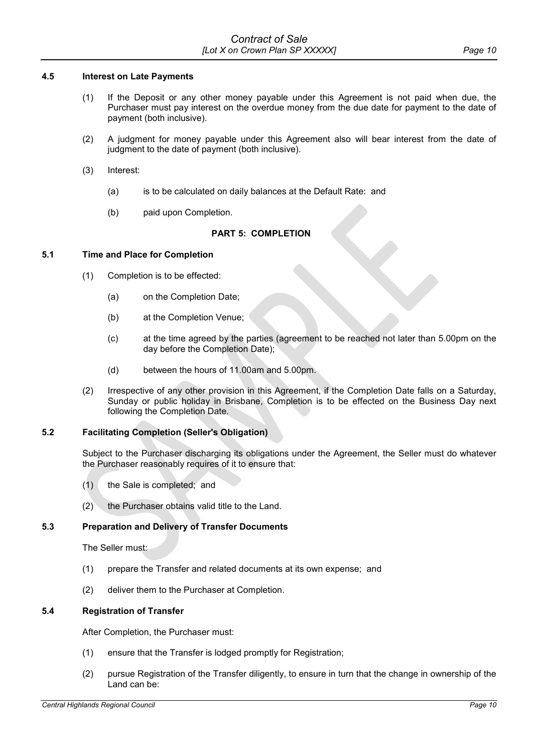## **4.5 Interest on Late Payments**

- (1) If the Deposit or any other money payable under this Agreement is not paid when due, the Purchaser must pay interest on the overdue money from the due date for payment to the date of payment (both inclusive).
- (2) A judgment for money payable under this Agreement also will bear interest from the date of judgment to the date of payment (both inclusive).
- (3) Interest:
	- (a) is to be calculated on daily balances at the Default Rate: and
	- (b) paid upon Completion.

# **PART 5: COMPLETION**

# <span id="page-9-0"></span>**5.1 Time and Place for Completion**

- (1) Completion is to be effected:
	- (a) on the Completion Date;
	- (b) at the Completion Venue;
	- (c) at the time agreed by the parties (agreement to be reached not later than 5.00pm on the day before the Completion Date);
	- (d) between the hours of 11.00am and 5.00pm.
- (2) Irrespective of any other provision in this Agreement, if the Completion Date falls on a Saturday, Sunday or public holiday in Brisbane, Completion is to be effected on the Business Day next following the Completion Date.

# **5.2 Facilitating Completion (Seller's Obligation)**

Subject to the Purchaser discharging its obligations under the Agreement, the Seller must do whatever the Purchaser reasonably requires of it to ensure that:

- (1) the Sale is completed; and
- (2) the Purchaser obtains valid title to the Land.

# **5.3 Preparation and Delivery of Transfer Documents**

The Seller must:

- (1) prepare the Transfer and related documents at its own expense; and
- (2) deliver them to the Purchaser at Completion.

# **5.4 Registration of Transfer**

After Completion, the Purchaser must:

- (1) ensure that the Transfer is lodged promptly for Registration;
- (2) pursue Registration of the Transfer diligently, to ensure in turn that the change in ownership of the Land can be: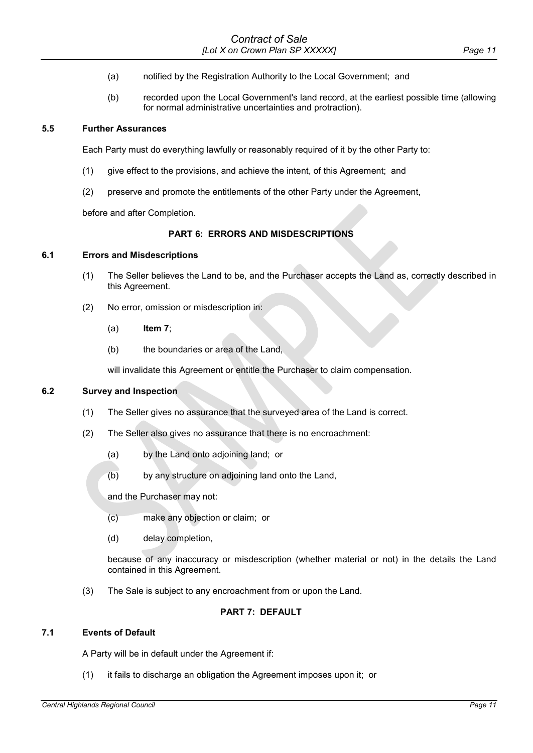- (a) notified by the Registration Authority to the Local Government; and
- (b) recorded upon the Local Government's land record, at the earliest possible time (allowing for normal administrative uncertainties and protraction).

#### **5.5 Further Assurances**

Each Party must do everything lawfully or reasonably required of it by the other Party to:

- (1) give effect to the provisions, and achieve the intent, of this Agreement; and
- (2) preserve and promote the entitlements of the other Party under the Agreement,

before and after Completion.

# **PART 6: ERRORS AND MISDESCRIPTIONS**

### **6.1 Errors and Misdescriptions**

- (1) The Seller believes the Land to be, and the Purchaser accepts the Land as, correctly described in this Agreement.
- (2) No error, omission or misdescription in:
	- (a) **[Item](#page-1-3) 7**;
	- (b) the boundaries or area of the Land,

will invalidate this Agreement or entitle the Purchaser to claim compensation.

### **6.2 Survey and Inspection**

- (1) The Seller gives no assurance that the surveyed area of the Land is correct.
- (2) The Seller also gives no assurance that there is no encroachment:
	- (a) by the Land onto adjoining land; or
	- (b) by any structure on adjoining land onto the Land,

and the Purchaser may not:

- (c) make any objection or claim; or
- (d) delay completion,

because of any inaccuracy or misdescription (whether material or not) in the details the Land contained in this Agreement.

(3) The Sale is subject to any encroachment from or upon the Land.

# **PART 7: DEFAULT**

#### **7.1 Events of Default**

A Party will be in default under the Agreement if:

(1) it fails to discharge an obligation the Agreement imposes upon it; or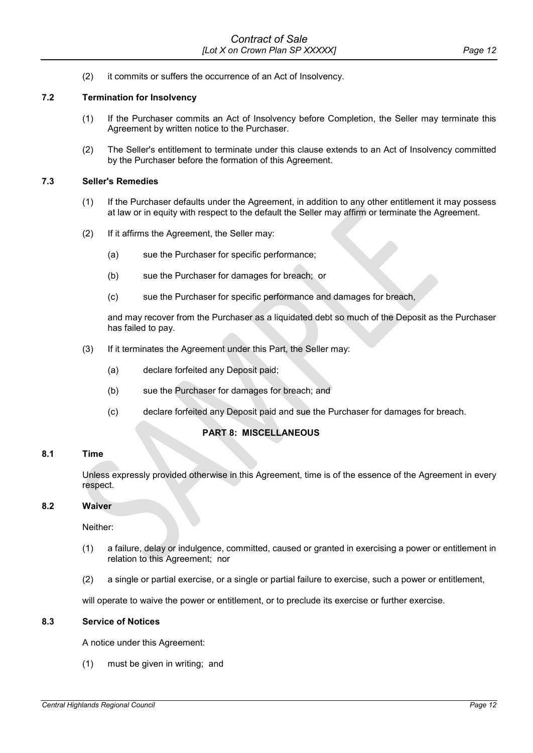(2) it commits or suffers the occurrence of an Act of Insolvency.

# **7.2 Termination for Insolvency**

- (1) If the Purchaser commits an Act of Insolvency before Completion, the Seller may terminate this Agreement by written notice to the Purchaser.
- (2) The Seller's entitlement to terminate under this clause extends to an Act of Insolvency committed by the Purchaser before the formation of this Agreement.

#### **7.3 Seller's Remedies**

- (1) If the Purchaser defaults under the Agreement, in addition to any other entitlement it may possess at law or in equity with respect to the default the Seller may affirm or terminate the Agreement.
- (2) If it affirms the Agreement, the Seller may:
	- (a) sue the Purchaser for specific performance;
	- (b) sue the Purchaser for damages for breach; or
	- (c) sue the Purchaser for specific performance and damages for breach,

and may recover from the Purchaser as a liquidated debt so much of the Deposit as the Purchaser has failed to pay.

- (3) If it terminates the Agreement under this Part, the Seller may:
	- (a) declare forfeited any Deposit paid;
	- (b) sue the Purchaser for damages for breach; and
	- (c) declare forfeited any Deposit paid and sue the Purchaser for damages for breach.

# **PART 8: MISCELLANEOUS**

#### **8.1 Time**

Unless expressly provided otherwise in this Agreement, time is of the essence of the Agreement in every respect.

#### **8.2 Waiver**

Neither:

- (1) a failure, delay or indulgence, committed, caused or granted in exercising a power or entitlement in relation to this Agreement; nor
- (2) a single or partial exercise, or a single or partial failure to exercise, such a power or entitlement,

will operate to waive the power or entitlement, or to preclude its exercise or further exercise.

#### **8.3 Service of Notices**

A notice under this Agreement:

(1) must be given in writing; and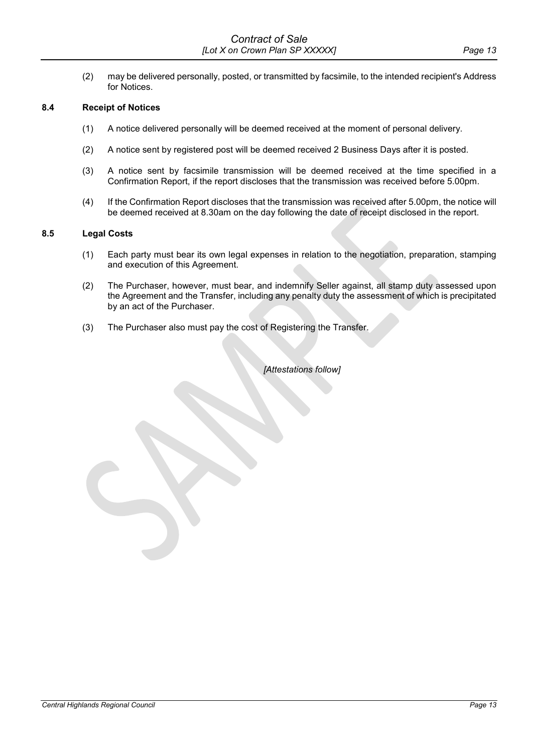(2) may be delivered personally, posted, or transmitted by facsimile, to the intended recipient's Address for Notices.

### **8.4 Receipt of Notices**

- (1) A notice delivered personally will be deemed received at the moment of personal delivery.
- (2) A notice sent by registered post will be deemed received 2 Business Days after it is posted.
- (3) A notice sent by facsimile transmission will be deemed received at the time specified in a Confirmation Report, if the report discloses that the transmission was received before 5.00pm.
- (4) If the Confirmation Report discloses that the transmission was received after 5.00pm, the notice will be deemed received at 8.30am on the day following the date of receipt disclosed in the report.

#### **8.5 Legal Costs**

- (1) Each party must bear its own legal expenses in relation to the negotiation, preparation, stamping and execution of this Agreement.
- (2) The Purchaser, however, must bear, and indemnify Seller against, all stamp duty assessed upon the Agreement and the Transfer, including any penalty duty the assessment of which is precipitated by an act of the Purchaser.
- (3) The Purchaser also must pay the cost of Registering the Transfer.

*[Attestations follow]*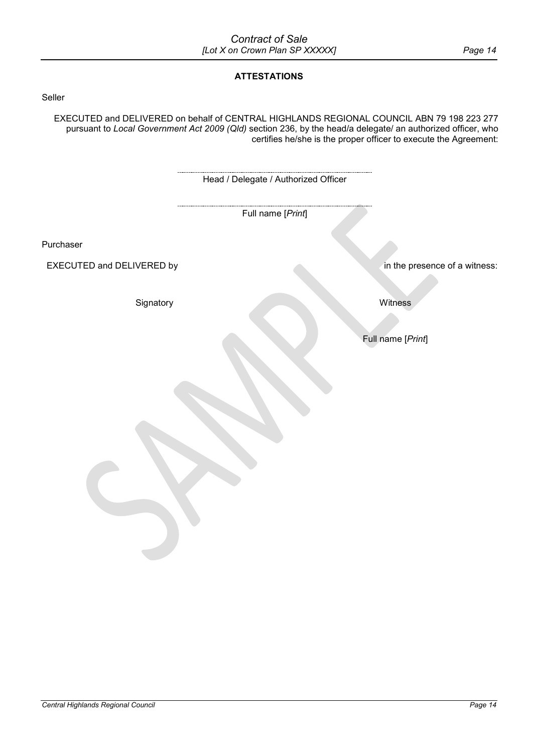# **ATTESTATIONS**

# Seller

EXECUTED and DELIVERED on behalf of CENTRAL HIGHLANDS REGIONAL COUNCIL ABN 79 198 223 277 pursuant to *Local Government Act 2009 (Qld)* section 236, by the head/a delegate/ an authorized officer, who certifies he/she is the proper officer to execute the Agreement:

|                           | Head / Delegate / Authorized Officer |                               |
|---------------------------|--------------------------------------|-------------------------------|
|                           | Full name [Print]                    |                               |
| Purchaser                 |                                      |                               |
| EXECUTED and DELIVERED by |                                      | in the presence of a witness: |
| Signatory                 |                                      | Witness                       |
|                           |                                      | Full name [Print]             |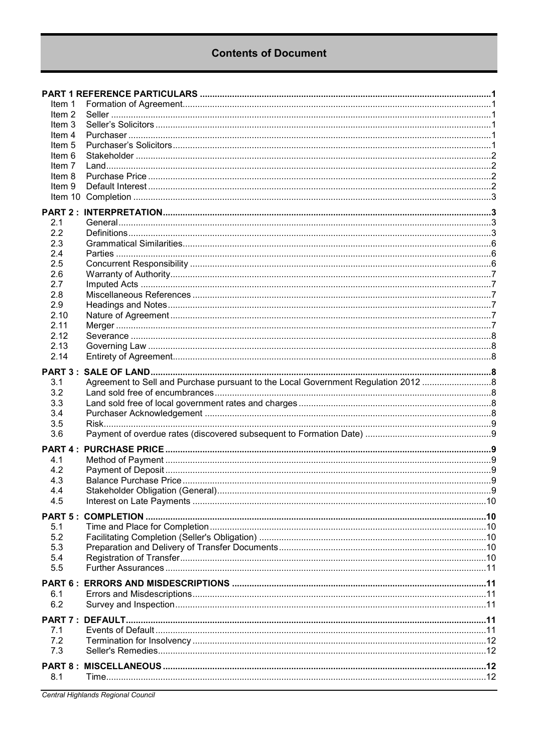# **Contents of Document**

| ltem 1                      |                                                                                   |  |
|-----------------------------|-----------------------------------------------------------------------------------|--|
| Item 2                      |                                                                                   |  |
| Item 3                      |                                                                                   |  |
| Item 4                      |                                                                                   |  |
| Item <sub>5</sub><br>Item 6 |                                                                                   |  |
| Item 7                      |                                                                                   |  |
| Item 8                      |                                                                                   |  |
| Item 9                      |                                                                                   |  |
|                             |                                                                                   |  |
|                             |                                                                                   |  |
| 2.1                         |                                                                                   |  |
| 2.2                         |                                                                                   |  |
| 2.3                         |                                                                                   |  |
| 2.4                         |                                                                                   |  |
| 2.5                         |                                                                                   |  |
| 2.6<br>2.7                  |                                                                                   |  |
| 2.8                         |                                                                                   |  |
| 2.9                         |                                                                                   |  |
| 2.10                        |                                                                                   |  |
| 2.11                        |                                                                                   |  |
| 2.12                        |                                                                                   |  |
| 2.13                        |                                                                                   |  |
| 2.14                        |                                                                                   |  |
| <b>PART 3:</b>              |                                                                                   |  |
| 3.1                         | Agreement to Sell and Purchase pursuant to the Local Government Regulation 2012 8 |  |
| 3.2                         |                                                                                   |  |
| 3.3                         |                                                                                   |  |
| 3.4                         |                                                                                   |  |
| 3.5<br>3.6                  |                                                                                   |  |
|                             |                                                                                   |  |
| <b>PART 4:</b>              |                                                                                   |  |
| 4.1<br>4.2                  |                                                                                   |  |
| 4.3                         |                                                                                   |  |
| 4.4                         |                                                                                   |  |
| 4.5                         |                                                                                   |  |
|                             |                                                                                   |  |
| 5.1                         |                                                                                   |  |
| 5.2                         |                                                                                   |  |
| 5.3                         |                                                                                   |  |
| 5.4                         |                                                                                   |  |
| 5.5                         |                                                                                   |  |
| PART 6:                     |                                                                                   |  |
| 6.1                         |                                                                                   |  |
| 6.2                         |                                                                                   |  |
|                             |                                                                                   |  |
| 7.1                         |                                                                                   |  |
| 7.2                         |                                                                                   |  |
| 7.3                         |                                                                                   |  |
|                             |                                                                                   |  |
| 8.1                         |                                                                                   |  |
|                             |                                                                                   |  |

Central Highlands Regional Council